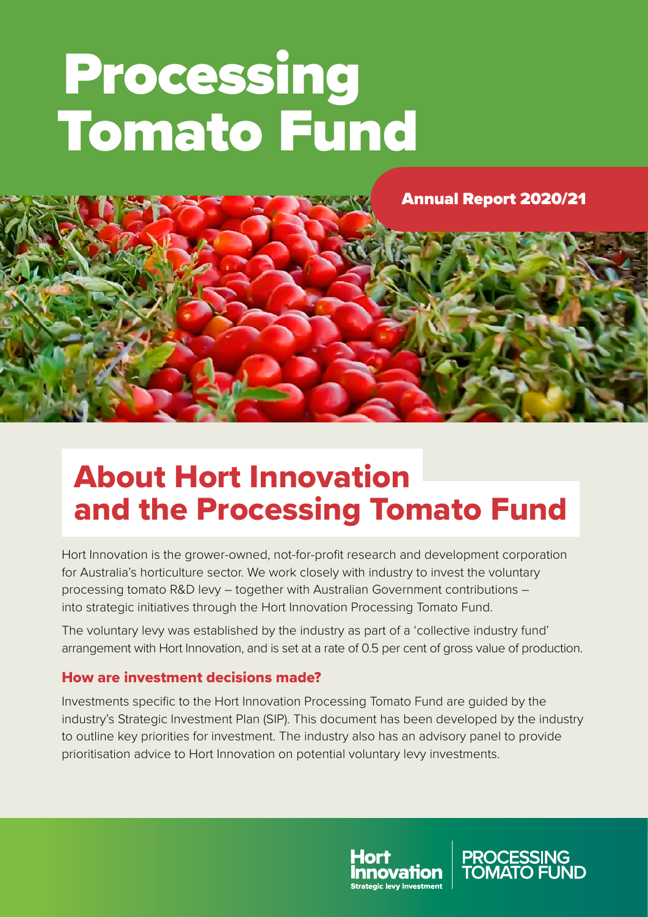# Processing Tomato Fund



## About Hort Innovation and the Processing Tomato Fund

Hort Innovation is the grower-owned, not-for-profit research and development corporation for Australia's horticulture sector. We work closely with industry to invest the voluntary processing tomato R&D levy – together with Australian Government contributions – into strategic initiatives through the Hort Innovation Processing Tomato Fund.

The voluntary levy was established by the industry as part of a 'collective industry fund' arrangement with Hort Innovation, and is set at a rate of 0.5 per cent of gross value of production.

#### How are investment decisions made?

Investments specific to the Hort Innovation Processing Tomato Fund are guided by the industry's Strategic Investment Plan (SIP). This document has been developed by the industry to outline key priorities for investment. The industry also has an advisory panel to provide prioritisation advice to Hort Innovation on potential voluntary levy investments.



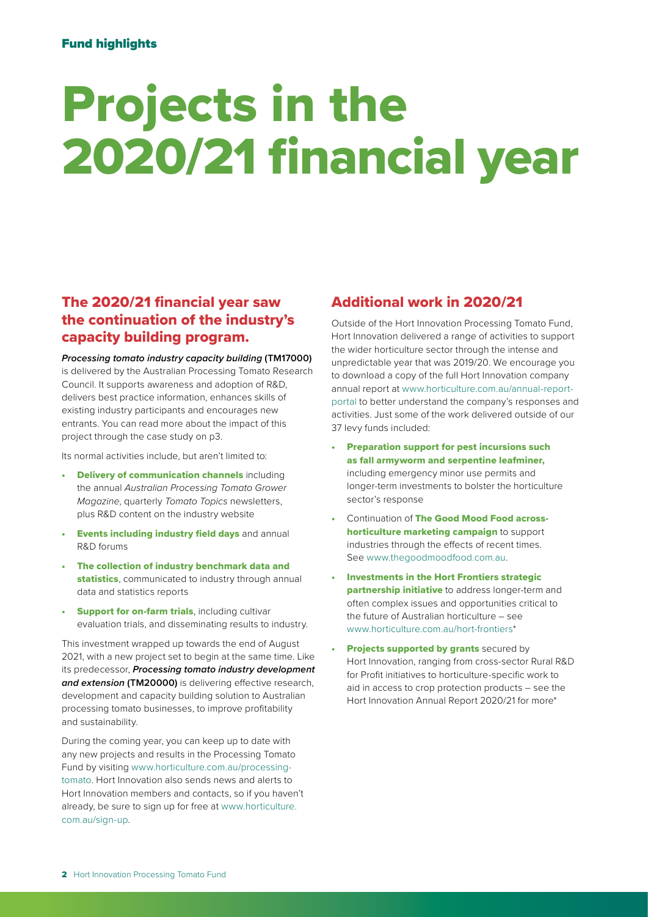## Projects in the 2020/21 financial year

#### The 2020/21 financial year saw the continuation of the industry's capacity building program.

#### *Processing tomato industry capacity building* **(TM17000)**

is delivered by the Australian Processing Tomato Research Council. It supports awareness and adoption of R&D, delivers best practice information, enhances skills of existing industry participants and encourages new entrants. You can read more about the impact of this project through the case study on [p3.](#page-2-0)

Its normal activities include, but aren't limited to:

- **Delivery of communication channels including** the annual *Australian Processing Tomato Grower Magazine*, quarterly *Tomato Topics* newsletters, plus R&D content on the industry website
- **Events including industry field days** and annual R&D forums
- The collection of industry benchmark data and statistics, communicated to industry through annual data and statistics reports
- **Support for on-farm trials, including cultivar** evaluation trials, and disseminating results to industry.

This investment wrapped up towards the end of August 2021, with a new project set to begin at the same time. Like its predecessor, *Processing tomato industry development*  and extension (TM20000) is delivering effective research, development and capacity building solution to Australian processing tomato businesses, to improve profitability and sustainability.

During the coming year, you can keep up to date with any new projects and results in the Processing Tomato Fund by visiting [www.horticulture.com.au/processing](http://www.horticulture.com.au/processing-tomato)[tomato.](http://www.horticulture.com.au/processing-tomato) Hort Innovation also sends news and alerts to Hort Innovation members and contacts, so if you haven't already, be sure to sign up for free at [www.horticulture.](http://www.horticulture.com.au/sign-up) [com.au/sign-up.](http://www.horticulture.com.au/sign-up)

#### Additional work in 2020/21

Outside of the Hort Innovation Processing Tomato Fund, Hort Innovation delivered a range of activities to support the wider horticulture sector through the intense and unpredictable year that was 2019/20. We encourage you to download a copy of the full Hort Innovation company annual report at [www.horticulture.com.au/annual-report](http://www.horticulture.com.au/annual-report-portal)[portal](http://www.horticulture.com.au/annual-report-portal) to better understand the company's responses and activities. Just some of the work delivered outside of our 37 levy funds included:

- Preparation support for pest incursions such as fall armyworm and serpentine leafminer, including emergency minor use permits and longer-term investments to bolster the horticulture sector's response
- Continuation of The Good Mood Food acrosshorticulture marketing campaign to support industries through the effects of recent times. See [www.thegoodmoodfood.com.au.](http://www.thegoodmoodfood.com.au)
- Investments in the Hort Frontiers strategic partnership initiative to address longer-term and often complex issues and opportunities critical to the future of Australian horticulture – see [www.horticulture.com.au/hort-frontiers](http://www.horticulture.com.au/hort-frontiers)\*
- **Projects supported by grants** secured by Hort Innovation, ranging from cross-sector Rural R&D for Profit initiatives to horticulture-specific work to aid in access to crop protection products – see the Hort Innovation Annual Report 2020/21 for more\*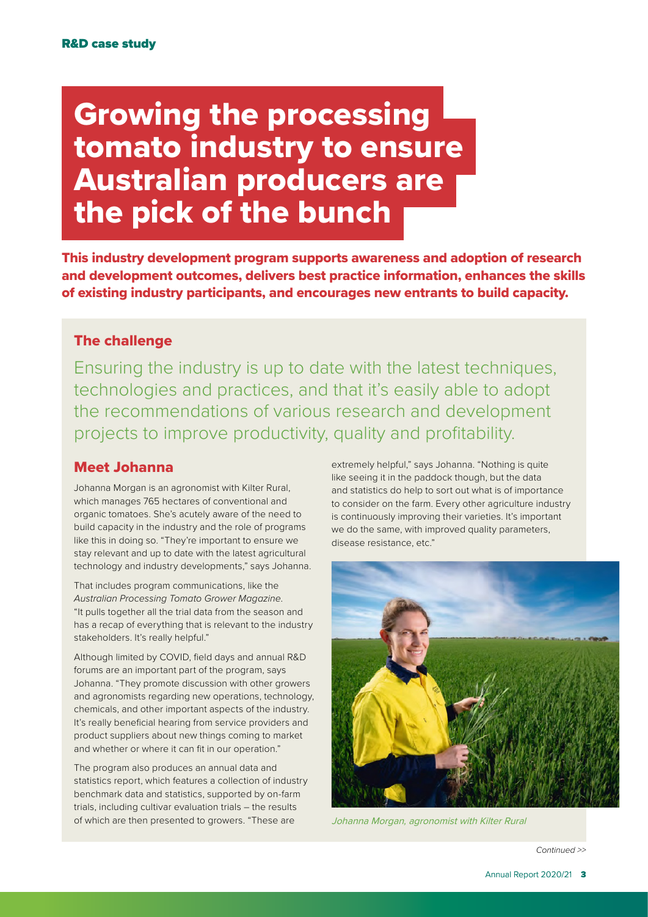## <span id="page-2-0"></span>Growing the processing tomato industry to ensure Australian producers are the pick of the bunch

This industry development program supports awareness and adoption of research and development outcomes, delivers best practice information, enhances the skills of existing industry participants, and encourages new entrants to build capacity.

#### The challenge

Ensuring the industry is up to date with the latest techniques, technologies and practices, and that it's easily able to adopt the recommendations of various research and development projects to improve productivity, quality and profitability.

#### Meet Johanna

Johanna Morgan is an agronomist with Kilter Rural, which manages 765 hectares of conventional and organic tomatoes. She's acutely aware of the need to build capacity in the industry and the role of programs like this in doing so. "They're important to ensure we stay relevant and up to date with the latest agricultural technology and industry developments," says Johanna.

That includes program communications, like the *Australian Processing Tomato Grower Magazine*. "It pulls together all the trial data from the season and has a recap of everything that is relevant to the industry stakeholders. It's really helpful."

Although limited by COVID, field days and annual R&D forums are an important part of the program, says Johanna. "They promote discussion with other growers and agronomists regarding new operations, technology, chemicals, and other important aspects of the industry. It's really beneficial hearing from service providers and product suppliers about new things coming to market and whether or where it can fit in our operation."

The program also produces an annual data and statistics report, which features a collection of industry benchmark data and statistics, supported by on-farm trials, including cultivar evaluation trials – the results of which are then presented to growers. "These are

extremely helpful," says Johanna. "Nothing is quite like seeing it in the paddock though, but the data and statistics do help to sort out what is of importance to consider on the farm. Every other agriculture industry is continuously improving their varieties. It's important we do the same, with improved quality parameters, disease resistance, etc."



Johanna Morgan, agronomist with Kilter Rural

*Continued >>*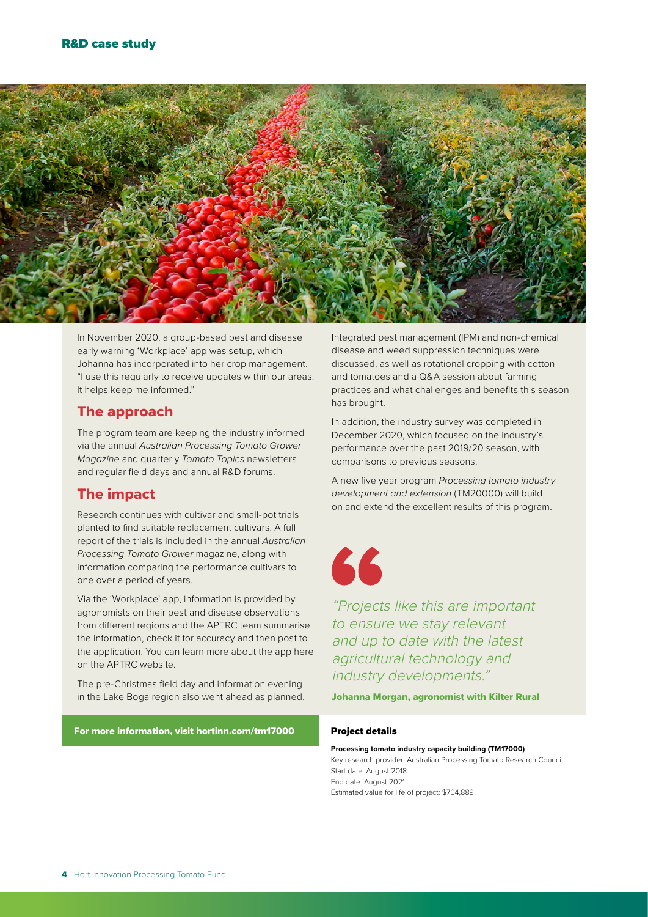

In November 2020, a group-based pest and disease early warning 'Workplace' app was setup, which Johanna has incorporated into her crop management. "I use this regularly to receive updates within our areas. It helps keep me informed."

#### The approach

The program team are keeping the industry informed via the annual *Australian Processing Tomato Grower Magazine* and quarterly *Tomato Topics* newsletters and regular field days and annual R&D forums.

#### The impact

Research continues with cultivar and small-pot trials planted to find suitable replacement cultivars. A full report of the trials is included in the annual *Australian Processing Tomato Grower* magazine, along with information comparing the performance cultivars to one over a period of years.

Via the 'Workplace' app, information is provided by agronomists on their pest and disease observations from different regions and the APTRC team summarise the information, check it for accuracy and then post to the application. You can learn more about the app here on the APTRC website.

The pre-Christmas field day and information evening in the Lake Boga region also went ahead as planned.

For more information, visit [hortinn.com/tm17000](http://hortinn.com/tm17000)

Integrated pest management (IPM) and non-chemical disease and weed suppression techniques were discussed, as well as rotational cropping with cotton and tomatoes and a Q&A session about farming practices and what challenges and benefits this season has brought.

In addition, the industry survey was completed in December 2020, which focused on the industry's performance over the past 2019/20 season, with comparisons to previous seasons.

A new five year program *Processing tomato industry development and extension* (TM20000) will build on and extend the excellent results of this program.



"Projects like this are important to ensure we stay relevant and up to date with the latest agricultural technology and industry developments."

Johanna Morgan, agronomist with Kilter Rural

#### Project details

**Processing tomato industry capacity building (TM17000)**

Key research provider: Australian Processing Tomato Research Council Start date: August 2018 End date: August 2021

Estimated value for life of project: \$704,889